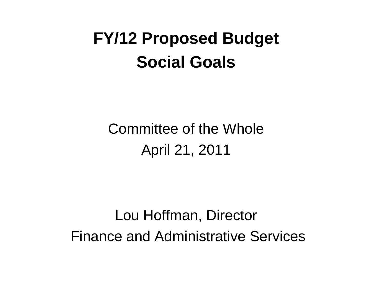#### **FY/12 Proposed Budget Social Goals**

Committee of the Whole April 21, 2011

Lou Hoffman, Director Finance and Administrative Services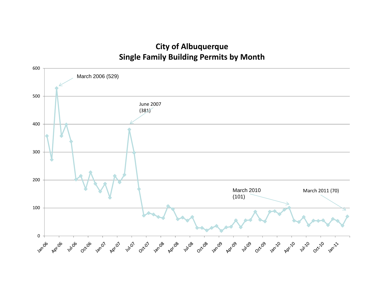#### **City of Albuquerque Si l F il B ildi P it b M th Single Family Building Permits by Month**

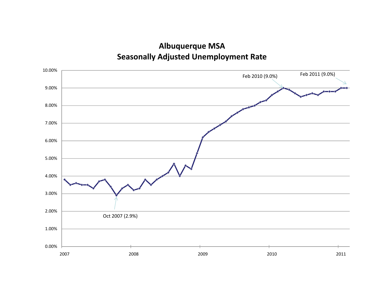**Albuquerque MSA Seasonally Adjusted Unemployment Rate** 

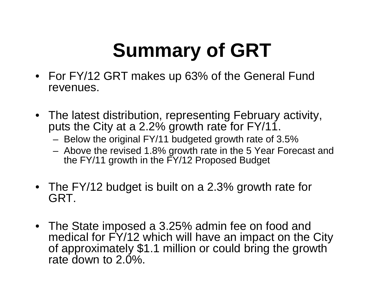## **Summary of GRT**

- For FY/12 GRT makes up 63% of the General Fund revenues.
- The latest distribution, representing February activity, puts the City at a 2.2% growth rate for FY/11.
	- Below the original FY/11 budgeted growth rate of 3.5%
	- Above the revised 1.8% growth rate in the 5 Year Forecast and the FY/11 growth in the FY/12 Proposed Budget
- The FY/12 budget is built on a 2.3% growth rate for GRT.
- The State imposed a 3.25% admin fee on food and medical for FY/12 which will have an impact on the City of approximately \$1.1 million or could bring the growth rate down to 2.0%.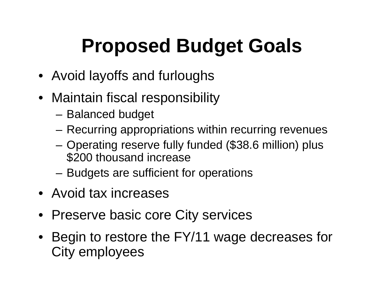## **Proposed Budget Goals**

- Avoid layoffs and furloughs
- Maintain fiscal responsibility
	- Balanced budget
	- Recurring appropriations within recurring revenues
	- Operating reserve fully funded (\$38.6 million) plus \$200 thousand increase
	- Budgets are sufficient for operations
- Avoid tax increases
- Preserve basic core City services
- Begin to restore the FY/11 wage decreases for City employees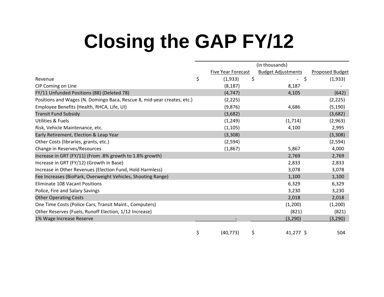## **Closing the GAP FY/12**

|                                                                         |                           | (in thousands)            |                        |  |
|-------------------------------------------------------------------------|---------------------------|---------------------------|------------------------|--|
|                                                                         | <b>Five Year Forecast</b> | <b>Budget Adjustments</b> | <b>Proposed Budget</b> |  |
| Revenue                                                                 | \$<br>(1,933)             | \$<br>\$                  | (1,933)                |  |
| CIP Coming on Line                                                      | (8, 187)                  | 8,187                     |                        |  |
| FY/11 Unfunded Positions (88) (Deleted 78)                              | (4, 747)                  | 4,105                     | (642)                  |  |
| Positions and Wages (N. Domingo Baca, Rescue 8, mid-year creates, etc.) | (2, 225)                  |                           | (2, 225)               |  |
| Employee Benefits (Health, RHCA, Life, UI)                              | (9,876)                   | 4,686                     | (5, 190)               |  |
| <b>Transit Fund Subsidy</b>                                             | (3,682)                   |                           | (3,682)                |  |
| <b>Utilities &amp; Fuels</b>                                            | (1, 249)                  | (1,714)                   | (2,963)                |  |
| Risk, Vehicle Maintenance, etc.                                         | (1, 105)                  | 4,100                     | 2,995                  |  |
| Early Retirement, Election & Leap Year                                  | (3,308)                   |                           | (3,308)                |  |
| Other Costs (libraries, grants, etc.)                                   | (2, 594)                  |                           | (2, 594)               |  |
| Change in Reserves/Resources                                            | (1,867)                   | 5,867                     | 4,000                  |  |
| Increase in GRT (FY/11) (From .8% growth to 1.8% growth)                |                           | 2,769                     | 2,769                  |  |
| Increase in GRT (FY/12) (Growth in Base)                                |                           | 2,833                     | 2,833                  |  |
| Increase in Other Revenues (Election Fund, Hold Harmless)               |                           | 3,078                     | 3,078                  |  |
| Fee Increases (BioPark, Overweight Vehicles, Shooting Range)            |                           | 1,100                     | 1,100                  |  |
| Eliminate 108 Vacant Positions                                          |                           | 6,329                     | 6,329                  |  |
| Police, Fire and Salary Savings                                         |                           | 3,230                     | 3,230                  |  |
| <b>Other Operating Costs</b>                                            |                           | 2,018                     | 2,018                  |  |
| One Time Costs (Police Cars, Transit Maint., Computers)                 |                           | (1,200)                   | (1,200)                |  |
| Other Reserves (Fuels, Runoff Election, 1/12 Increase)                  |                           | (821)                     | (821)                  |  |
| 1% Wage Increase Reserve                                                |                           | (3, 290)                  | (3, 290)               |  |
|                                                                         | \$<br>(40, 773)           | \$<br>$41,277$ \$         | 504                    |  |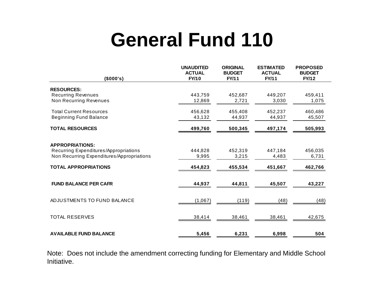## **General Fund 110**

| (\$000's)                                 | <b>UNAUDITED</b><br><b>ACTUAL</b><br><b>FY/10</b> | <b>ORIGINAL</b><br><b>BUDGET</b><br><b>FY/11</b> | <b>ESTIMATED</b><br><b>ACTUAL</b><br><b>FY/11</b> | <b>PROPOSED</b><br><b>BUDGET</b><br><b>FY/12</b> |
|-------------------------------------------|---------------------------------------------------|--------------------------------------------------|---------------------------------------------------|--------------------------------------------------|
| <b>RESOURCES:</b>                         |                                                   |                                                  |                                                   |                                                  |
| <b>Recurring Revenues</b>                 | 443,759                                           | 452,687                                          | 449,207                                           | 459,411                                          |
| <b>Non Recurring Revenues</b>             | 12,869                                            | 2,721                                            | 3,030                                             | 1,075                                            |
| <b>Total Current Resources</b>            | 456,628                                           | 455,408                                          | 452,237                                           | 460,486                                          |
| <b>Beginning Fund Balance</b>             | 43,132                                            | 44,937                                           | 44,937                                            | 45,507                                           |
| <b>TOTAL RESOURCES</b>                    | 499,760                                           | 500,345                                          | 497,174                                           | 505,993                                          |
| <b>APPROPRIATIONS:</b>                    |                                                   |                                                  |                                                   |                                                  |
| Recurring Expenditures/Appropriations     | 444,828                                           | 452,319                                          | 447,184                                           | 456,035                                          |
| Non Recurring Expenditures/Appropriations | 9,995                                             | 3,215                                            | 4,483                                             | 6,731                                            |
| <b>TOTAL APPROPRIATIONS</b>               | 454,823                                           | 455,534                                          | 451,667                                           | 462,766                                          |
| <b>FUND BALANCE PER CAFR</b>              | 44,937                                            | 44,811                                           | 45,507                                            | 43,227                                           |
| ADJUSTMENTS TO FUND BALANCE               | (1,067)                                           | (119)                                            | (48)                                              | (48)                                             |
| <b>TOTAL RESERVES</b>                     | 38,414                                            | 38,461                                           | 38,461                                            | 42,675                                           |
| <b>AVAILABLE FUND BALANCE</b>             | 5,456                                             | 6,231                                            | 6,998                                             | 504                                              |

Note: Does not include the amendment correcting funding for Elementary and Middle School Initiative.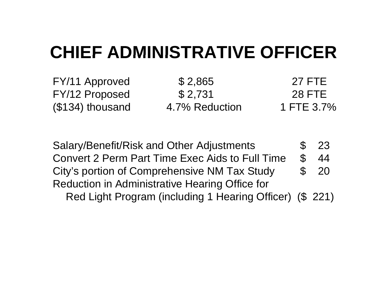### **CHIEF ADMINISTRATIVE OFFICER**

FY/12 Proposed

FY/11 Approved \$ 2,865 27 FTE \$ 2 731  $($ \$134) thousand 4.7% Reduction 1 FTE 3.7%

28 FTE

Salary/Benefit/Risk and Other Adjustments \$ 23 Convert 2 Perm Part Time Exec Aids to Full Time \$ 44 City's portion of Comprehensive NM Tax Study \$ 20 Reduction in Administrative Hearing Office for Red Light Program (including 1 Hearing Officer) (\$ 221)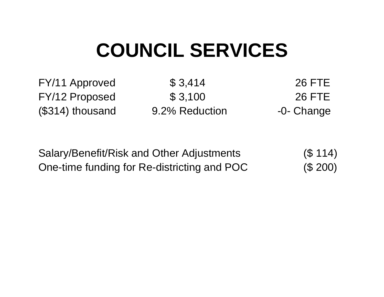## **COUNCIL SERVICES**

FY/11 Approved \$ 3,414 26 FTE

FY/12 Proposed \$ 3,100 26 FTE (\$314) thousand 9.2% Reduction -0- Change

| Salary/Benefit/Risk and Other Adjustments   | (S 114)  |
|---------------------------------------------|----------|
| One-time funding for Re-districting and POC | (\$ 200) |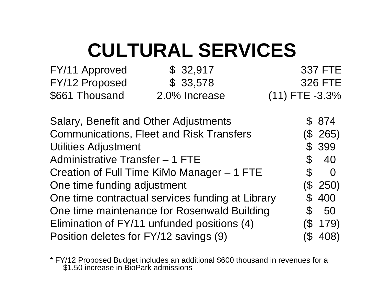## **CULTURAL SERVICES**

| FY/11 Approved | \$32,917      | 337 FTE             |
|----------------|---------------|---------------------|
| FY/12 Proposed | \$33,578      | 326 FTE             |
| \$661 Thousand | 2.0% Increase | $(11)$ FTE $-3.3\%$ |

Salary, Benefit and Other Adjustments  $\qquad \qquad$  \$ 874 Communications, Fleet and Risk Transfers (  $(\$$  265) Utilities Adjustment **\$ 399** Administrative Transfer – 1 FTE  $$ 40$ Creation of Full Time KiMo Manager – 1 FTE \$ 0 One time funding adjustment (\$ 250) One time contractual services funding at Library  $\sim$  \$ 400 One time maintenance for Rosenwald Building  $\$\,50$ Elimination of FY/11 unfunded positions (4) (\$ 179) Position deletes for FY/12 savings (9) (\$ 408)

\* FY/12 Proposed Budget includes an additional \$600 thousand in revenues for a \$1.50 increase in BioPark admissions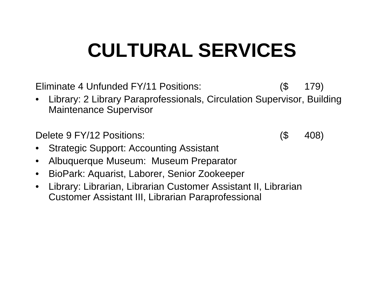## **CULTURAL SERVICES**

Eliminate 4 Unfunded FY/11 Positions: (\$ 179)

• Library: 2 Library Paraprofessionals, Circulation Supervisor, Building Maintenance Supervisor

Delete 9 FY/12 Positions: (\$ 408)

- •Strategic Support: Accounting Assistant
- $\bullet$ Albuquerque Museum: Museum Preparator
- $\bullet$ BioPark: Aquarist, Laborer, Senior Zookeeper
- $\bullet$  Library: Librarian, Librarian Customer Assistant II, Librarian Customer Assistant III, Librarian Paraprofessional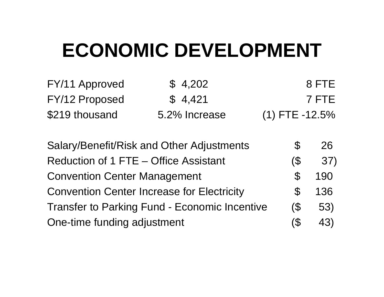## **ECONOMIC DEVELOPMENT**

| FY/11 Approved | \$4,202       | 8 FTE            |
|----------------|---------------|------------------|
| FY/12 Proposed | \$4,421       | 7 FTE            |
| \$219 thousand | 5.2% Increase | $(1)$ FTE -12.5% |

| Salary/Benefit/Risk and Other Adjustments            | \$           | 26  |
|------------------------------------------------------|--------------|-----|
| Reduction of 1 FTE - Office Assistant                | (\$          | 37) |
| <b>Convention Center Management</b>                  | <b>S</b>     | 190 |
| <b>Convention Center Increase for Electricity</b>    | <sup>S</sup> | 136 |
| <b>Transfer to Parking Fund - Economic Incentive</b> | $\sqrt{3}$   | 53) |
| One-time funding adjustment                          | (\$          | 43) |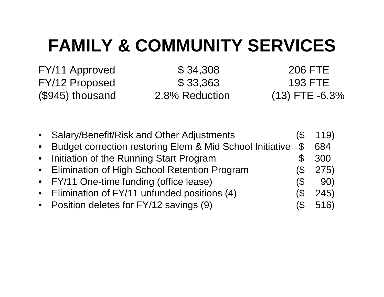#### **FAMILY & COMMUNITY SERVICES**

FY/11 Approved \$ 34,308 206 FTE FY/12 Proposed \$ 33,363 193 FTE  $(\$945)$  thousand  $\qquad \qquad 2.8\%$  Reduction  $\qquad \qquad (13)$  FTE 2.8% Reduction

 $(13)$  FTE  $-6.3%$ 

| • Salary/Benefit/Risk and Other Adjustments                |               | 119) |
|------------------------------------------------------------|---------------|------|
| • Budget correction restoring Elem & Mid School Initiative | $\mathcal{S}$ | 684  |
| • Initiation of the Running Start Program                  |               | 300  |
| • Elimination of High School Retention Program             |               | 275) |
| • FY/11 One-time funding (office lease)                    | (\$           | 90)  |
| • Elimination of FY/11 unfunded positions (4)              | (\$           | 245) |
| • Position deletes for FY/12 savings (9)                   |               | 516) |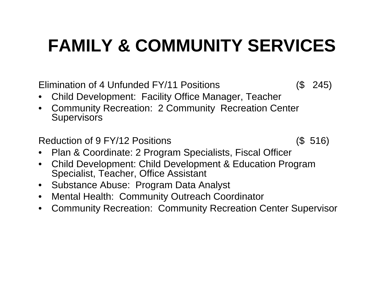### **FAMILY & COMMUNITY SERVICES**

Elimination of 4 Unfunded FY/11 Positions (\$ 245)

- •Child Development: Facility Office Manager, Teache r
- • Community Recreation: 2 Community Recreation Center **Supervisors**

Reduction of 9 FY/12 Positions (\$516)

- •Plan & Coordinate: 2 Program Specialists, Fiscal Officer
- • Child Development: Child Development & Education Program Specialist, Teacher, Office Assistant
- •Substance Abuse: Program Data Analyst
- $\bullet$ Mental Health: Community Outreach Coordinator
- $\bullet$ Community Recreation: Community Recreation Center Superviso r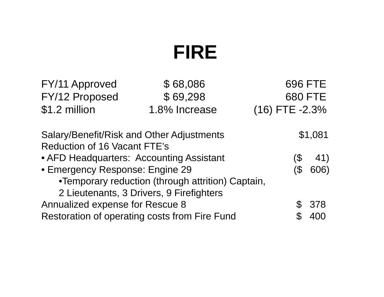## **FIRE**

| FY/11 Approved                                                                   | \$68,086                                          |                | <b>696 FTE</b> |
|----------------------------------------------------------------------------------|---------------------------------------------------|----------------|----------------|
| FY/12 Proposed                                                                   | \$69,298                                          |                | <b>680 FTE</b> |
| \$1.2 million                                                                    | 1.8% Increase                                     | (16) FTE -2.3% |                |
| Salary/Benefit/Risk and Other Adjustments<br><b>Reduction of 16 Vacant FTE's</b> |                                                   |                | \$1,081        |
| • AFD Headquarters: Accounting Assistant                                         |                                                   | 3              | 41)            |
| • Emergency Response: Engine 29                                                  |                                                   |                | 606)           |
|                                                                                  | •Temporary reduction (through attrition) Captain, |                |                |
|                                                                                  | 2 Lieutenants, 3 Drivers, 9 Firefighters          |                |                |
| <b>Annualized expense for Rescue 8</b>                                           |                                                   |                | 378            |
|                                                                                  | Restoration of operating costs from Fire Fund     |                |                |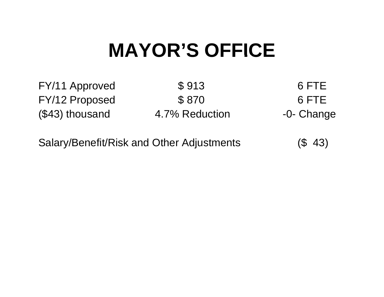## **MAYOR S' OFFICE**

FY/11 Approved \$913 6 FTE FY/12 Proposed \$870 6 FTE (\$43) thousand 4.7% Reduction -0- Change

Salary/Benefit/Risk and Other Adjustments (\$ 43)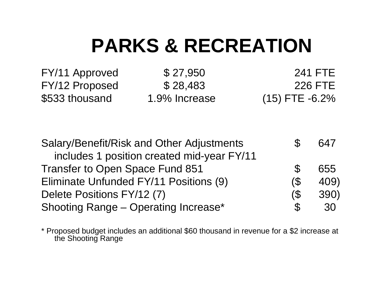## **PARKS & RECREATION**

FY/11 Approved \$ 27,950 241 FTE FY/12 Proposed \$ 28,483 226 FTE \$533 thousand 1.9% Increase (15) FTE -6.2%

| Salary/Benefit/Risk and Other Adjustments   |               | 647  |
|---------------------------------------------|---------------|------|
| includes 1 position created mid-year FY/11  |               |      |
| <b>Transfer to Open Space Fund 851</b>      | $\mathcal{S}$ | 655  |
| Eliminate Unfunded FY/11 Positions (9)      | $($ \$        | 409) |
| Delete Positions FY/12 (7)                  | $\sqrt{3}$    | 390) |
| <b>Shooting Range - Operating Increase*</b> | $\mathcal{L}$ | 30   |

\* Proposed budget includes an additional \$60 thousand in revenue for a \$2 increase at the Shooting Range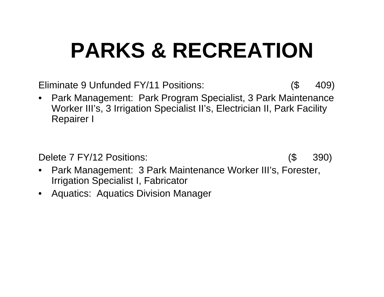# **PARKS & RECREATION**

Eliminate 9 Unfunded FY/11 Positions: (\$ 409)

 $\bullet$  Park Management: Park Program Specialist, 3 Park Maintenance Worker III's, 3 Irrigation Specialist II's, Electrician II, Park Facility Repairer I

Delete 7 FY/12 Positions: (\$ 390)

- $\bullet$ • Park Management: 3 Park Maintenance Worker III's, Forester, Irrigation Specialist I, Fabricator
- Aquatics: Aquatics Division Manager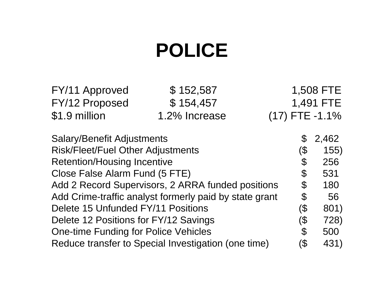## **POLICE**

| FY/11 Approved                              | \$152,587                                              |  |                            | 1,508 FTE        |
|---------------------------------------------|--------------------------------------------------------|--|----------------------------|------------------|
| FY/12 Proposed                              | \$154,457                                              |  |                            | 1,491 FTE        |
| \$1.9 million                               | 1.2% Increase                                          |  |                            | $(17)$ FTE -1.1% |
| <b>Salary/Benefit Adjustments</b>           |                                                        |  | $\mathfrak{F}$             | 2,462            |
| <b>Risk/Fleet/Fuel Other Adjustments</b>    |                                                        |  | $\left( \text{\$}\right)$  | 155)             |
| <b>Retention/Housing Incentive</b>          |                                                        |  | $\boldsymbol{\varphi}$     | 256              |
| Close False Alarm Fund (5 FTE)              |                                                        |  | $\boldsymbol{\varphi}$     | 531              |
|                                             | Add 2 Record Supervisors, 2 ARRA funded positions      |  | $\boldsymbol{\mathcal{S}}$ | 180              |
|                                             | Add Crime-traffic analyst formerly paid by state grant |  | $\boldsymbol{\theta}$      | 56               |
| Delete 15 Unfunded FY/11 Positions          |                                                        |  | (\$                        | 801)             |
| Delete 12 Positions for FY/12 Savings       |                                                        |  | (\$                        | 728)             |
| <b>One-time Funding for Police Vehicles</b> |                                                        |  | $\mathcal{C}$              | 500              |
|                                             | Reduce transfer to Special Investigation (one time)    |  | (\$                        | 431)             |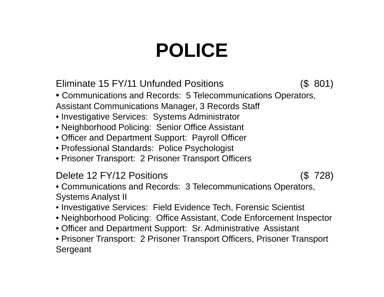## **POLICE**

Eliminate 15 FY/11 Unfunded Positions (\$ 801)

• Communications and Records: 5 Telecommunications Operators, Assistant Communications Manager, 3 Records Staff

- Investigative Services: Systems Administrator
- Neighborhood Policing: Senior Office Assistant
- Officer and Department Support: Payroll Officer
- Professional Standards: Police Psychologist
- Prisoner Transport: 2 Prisoner Transport Officers

#### Delete 12 FY/12 Positions (\$ 728)

• Communications and Records: 3 Telecommunications Operators, Systems Analyst II

- Investigative Services: Field Evidence Tech, Forensic Scientist
- Neighborhood Policing: Office Assistant, Code Enforcement Inspector
- Officer and Department Support: Sr. Administrative Assistant

• Prisoner Transport: 2 Prisoner Transport Officers, Prisoner Transport Sergeant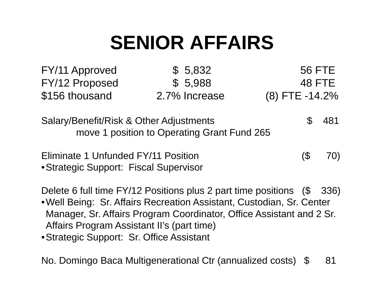## **SENIOR AFFAIRS**

| FY/11 Approved | \$5,832       | 56 FTE           |
|----------------|---------------|------------------|
| FY/12 Proposed | \$5,988       | 48 FTE           |
| \$156 thousand | 2.7% Increase | $(8)$ FTE -14.2% |

Salary/Benefit/Risk & Other Adjustments  $$ 481$ move 1 position to Operating Grant Fund 265

Eliminate 1 Unfunded FY/11 Position (\$ 70) • Strategic Support: Fiscal Supervisor

Delete 6 full time FY/12 Positions plus 2 part time positions (\$ 336)

• Well Being: Sr. Affairs Recreation Assistant, Custodian, Sr. Center Manager, Sr. Affairs Program Coordinator, Office Assistant and 2 Sr. Affairs Program Assistant II's (part time)

•Strategic Support: Sr. Office Assistant

No. Domingo Baca Multigenerational Ctr (annualized costs) \$ 81